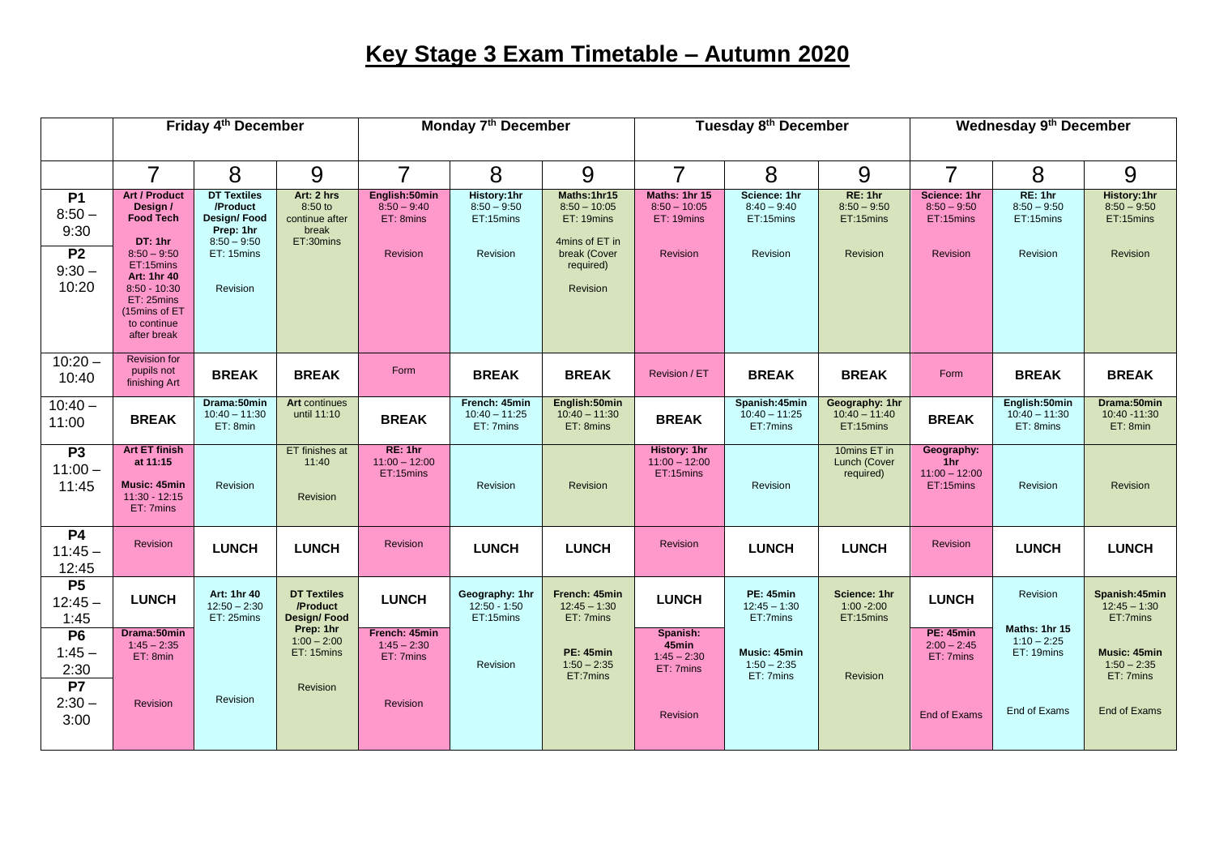## **Key Stage 3 Exam Timetable – Autumn 2020**

|                                                                 | Friday 4 <sup>th</sup> December                                                                                                                                                      |                                                                                                       |                                                                                                  | Monday 7 <sup>th</sup> December                         |                                                       |                                                                                                        | Tuesday 8 <sup>th</sup> December                          |                                                                |                                                   | Wednesday 9 <sup>th</sup> December                     |                                                          |                                                             |
|-----------------------------------------------------------------|--------------------------------------------------------------------------------------------------------------------------------------------------------------------------------------|-------------------------------------------------------------------------------------------------------|--------------------------------------------------------------------------------------------------|---------------------------------------------------------|-------------------------------------------------------|--------------------------------------------------------------------------------------------------------|-----------------------------------------------------------|----------------------------------------------------------------|---------------------------------------------------|--------------------------------------------------------|----------------------------------------------------------|-------------------------------------------------------------|
|                                                                 | $\overline{7}$                                                                                                                                                                       | 8                                                                                                     | 9                                                                                                | $\overline{7}$                                          | 8                                                     | 9                                                                                                      | $\overline{7}$                                            | 8                                                              | 9                                                 | $\overline{7}$                                         | 8                                                        | 9                                                           |
| <b>P1</b><br>$8:50 -$<br>9:30<br><b>P2</b><br>$9:30 -$<br>10:20 | <b>Art / Product</b><br>Design /<br>Food Tech<br>DT: 1hr<br>$8:50 - 9:50$<br>ET:15mins<br>Art: 1hr 40<br>$8:50 - 10:30$<br>ET: 25mins<br>(15mins of ET<br>to continue<br>after break | <b>DT Textiles</b><br>/Product<br>Design/Food<br>Prep: 1hr<br>$8:50 - 9:50$<br>ET: 15mins<br>Revision | Art: 2 hrs<br>8:50 to<br>continue after<br>break<br>ET:30mins                                    | English:50min<br>$8:50 - 9:40$<br>ET: 8mins<br>Revision | History:1hr<br>$8:50 - 9:50$<br>ET:15mins<br>Revision | Maths:1hr15<br>$8:50 - 10:05$<br>ET: 19mins<br>4mins of ET in<br>break (Cover<br>required)<br>Revision | Maths: 1hr 15<br>$8:50 - 10:05$<br>ET: 19mins<br>Revision | Science: 1hr<br>$8:40 - 9:40$<br>ET:15mins<br>Revision         | RE: 1hr<br>$8:50 - 9:50$<br>ET:15mins<br>Revision | Science: 1hr<br>$8:50 - 9:50$<br>ET:15mins<br>Revision | RE: 1hr<br>$8:50 - 9:50$<br>ET:15mins<br>Revision        | History:1hr<br>$8:50 - 9:50$<br>ET:15mins<br>Revision       |
| $10:20 -$<br>10:40                                              | <b>Revision for</b><br>pupils not<br>finishing Art                                                                                                                                   | <b>BREAK</b>                                                                                          | <b>BREAK</b>                                                                                     | Form                                                    | <b>BREAK</b>                                          | <b>BREAK</b>                                                                                           | Revision / ET                                             | <b>BREAK</b>                                                   | <b>BREAK</b>                                      | Form                                                   | <b>BREAK</b>                                             | <b>BREAK</b>                                                |
| $10:40 -$<br>11:00                                              | <b>BREAK</b>                                                                                                                                                                         | Drama:50min<br>$10:40 - 11:30$<br>ET: 8min                                                            | <b>Art</b> continues<br>until 11:10                                                              | <b>BREAK</b>                                            | French: 45min<br>$10:40 - 11:25$<br>ET: 7mins         | English:50min<br>$10:40 - 11:30$<br>ET: 8mins                                                          | <b>BREAK</b>                                              | Spanish:45min<br>$10:40 - 11:25$<br>ET:7mins                   | Geography: 1hr<br>$10:40 - 11:40$<br>ET:15mins    | <b>BREAK</b>                                           | English:50min<br>$10:40 - 11:30$<br>ET: 8mins            | Drama:50min<br>10:40 -11:30<br>ET: 8min                     |
| P3<br>$11:00 -$<br>11:45                                        | <b>Art ET finish</b><br>at 11:15<br>Music: 45min<br>$11:30 - 12:15$<br>ET: 7mins                                                                                                     | Revision                                                                                              | ET finishes at<br>11:40<br><b>Revision</b>                                                       | RE: 1hr<br>$11:00 - 12:00$<br>ET:15mins                 | Revision                                              | Revision                                                                                               | History: 1hr<br>$11:00 - 12:00$<br>ET:15mins              | Revision                                                       | 10mins ET in<br>Lunch (Cover<br>required)         | Geography:<br>1hr<br>$11:00 - 12:00$<br>ET:15mins      | Revision                                                 | Revision                                                    |
| <b>P4</b><br>$11:45 -$<br>12:45                                 | Revision                                                                                                                                                                             | <b>LUNCH</b>                                                                                          | <b>LUNCH</b>                                                                                     | Revision                                                | <b>LUNCH</b>                                          | <b>LUNCH</b>                                                                                           | <b>Revision</b>                                           | <b>LUNCH</b>                                                   | <b>LUNCH</b>                                      | <b>Revision</b>                                        | <b>LUNCH</b>                                             | <b>LUNCH</b>                                                |
| P5<br>$12:45 -$<br>1:45<br>P6<br>$1:45 -$                       | <b>LUNCH</b><br>Drama:50min<br>$1:45 - 2:35$                                                                                                                                         | Art: 1hr 40<br>$12:50 - 2:30$<br>ET: 25mins                                                           | <b>DT Textiles</b><br>/Product<br><b>Design/Food</b><br>Prep: 1hr<br>$1:00 - 2:00$<br>ET: 15mins | <b>LUNCH</b><br>French: 45min<br>$1:45 - 2:30$          | Geography: 1hr<br>$12:50 - 1:50$<br>ET:15mins         | French: 45min<br>$12:45 - 1:30$<br>ET: 7mins<br><b>PE: 45min</b>                                       | <b>LUNCH</b><br>Spanish:<br>45min                         | <b>PE: 45min</b><br>$12:45 - 1:30$<br>ET:7mins<br>Music: 45min | Science: 1hr<br>$1:00 - 2:00$<br>ET:15mins        | <b>LUNCH</b><br><b>PE: 45min</b><br>$2:00 - 2:45$      | Revision<br>Maths: 1hr 15<br>$1:10 - 2:25$<br>ET: 19mins | Spanish:45min<br>$12:45 - 1:30$<br>ET:7mins<br>Music: 45min |
| 2:30<br>P7<br>$2:30 -$<br>3:00                                  | ET: 8min<br>Revision                                                                                                                                                                 | Revision                                                                                              | Revision                                                                                         | ET: 7mins<br>Revision                                   | Revision                                              | $1:50 - 2:35$<br>ET:7mins                                                                              | $1:45 - 2:30$<br>ET: 7mins<br>Revision                    | $1:50 - 2:35$<br>ET: 7mins                                     | Revision                                          | ET: 7mins<br>End of Exams                              | End of Exams                                             | $1:50 - 2:35$<br>ET: 7mins<br>End of Exams                  |